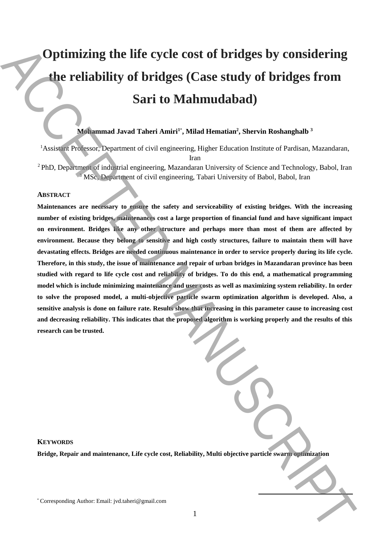# **Optimizing the life cycle cost of bridges by considering the reliability of bridges (Case study of bridges from Sari to Mahmudabad)**

## **Mohammad Javad Taheri Amiri<sup>1</sup>**\* **, Milad Hematian<sup>2</sup> , Shervin Roshanghalb <sup>3</sup>**

<sup>1</sup>Assistant Professor, Department of civil engineering, Higher Education Institute of Pardisan, Mazandaran, Iran <sup>2</sup> PhD, Department of industrial engineering, Mazandaran University of Science and Technology, Babol, Iran <sup>3</sup> MSc, Department of civil engineering, Tabari University of Babol, Babol, Iran

### **ABSTRACT**

**Maintenances are necessary to ensure the safety and serviceability of existing bridges. With the increasing number of existing bridges, maintenances cost a large proportion of financial fund and have significant impact on environment. Bridges like any other structure and perhaps more than most of them are affected by environment. Because they belong to sensitive and high costly structures, failure to maintain them will have devastating effects. Bridges are needed continuous maintenance in order to service properly during its life cycle. Therefore, in this study, the issue of maintenance and repair of urban bridges in Mazandaran province has been studied with regard to life cycle cost and reliability of bridges. To do this end, a mathematical programming model which is include minimizing maintenance and user costs as well as maximizing system reliability. In order to solve the proposed model, a multi-objective particle swarm optimization algorithm is developed. Also, a sensitive analysis is done on failure rate. Results show that increasing in this parameter cause to increasing cost and decreasing reliability. This indicates that the proposed algorithm is working properly and the results of this research can be trusted. Corresponding the life cycle cost of bridges (Case study of bridges from Sari to Mahmudahad)**<br>
Sari to Mahmudahad)<br>
Sari to Mahmudahad)<br>
Sari to Mahmudahad)<br>
Sari to Mahmudahad)<br>
Sari to Mahmudahad and There is the inter

#### **KEYWORDS**

**Bridge, Repair and maintenance, Life cycle cost, Reliability, Multi objective particle swarm optimization**

**.**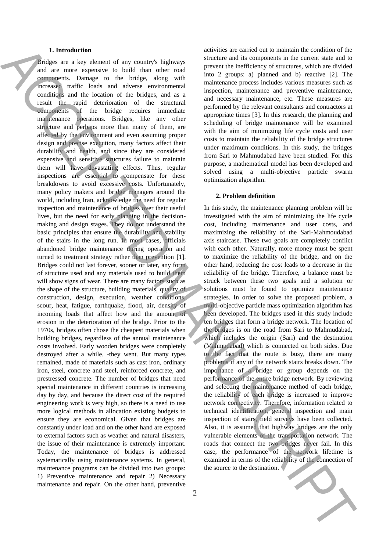## **1. Introduction**

Bridges are a key element of any country's highways and are more expensive to build than other road components. Damage to the bridge, along with increased traffic loads and adverse environmental conditions and the location of the bridges, and as a result the rapid deterioration of the structural components of the bridge requires immediate maintenance operations. Bridges, like any other structure and perhaps more than many of them, are affected by the environment and even assuming proper design and precise execution, many factors affect their durability and health, and since they are considered expensive and sensitive structures failure to maintain them will have devastating effects. Thus, regular inspections are essential to compensate for these breakdowns to avoid excessive costs. Unfortunately, many policy makers and bridge managers around the world, including Iran, acknowledge the need for regular inspection and maintenance of bridges over their useful lives, but the need for early planning in the decisionmaking and design stages. They do not understand the basic principles that ensure the durability and stability of the stairs in the long run. In most cases, officials abandoned bridge maintenance during operation and turned to treatment strategy rather than prevention [1]. Bridges could not last forever, sooner or later, any form of structure used and any materials used to build them will show signs of wear. There are many factors such as the shape of the structure, building materials, quality of construction, design, execution, weather conditions, scour, heat, fatigue, earthquake, flood, air, density of incoming loads that affect how and the amount of erosion in the deterioration of the bridge. Prior to the 1970s, bridges often chose the cheapest materials when building bridges, regardless of the annual maintenance costs involved. Early wooden bridges were completely destroyed after a while. -they went. But many types remained, made of materials such as cast iron, ordinary iron, steel, concrete and steel, reinforced concrete, and prestressed concrete. The number of bridges that need special maintenance in different countries is increasing day by day, and because the direct cost of the required engineering work is very high, so there is a need to use more logical methods in allocation existing budgets to ensure they are economical. Given that bridges are constantly under load and on the other hand are exposed to external factors such as weather and natural disasters, the issue of their maintenance is extremely important. Today, the maintenance of bridges is addressed systematically using maintenance systems. In general, maintenance programs can be divided into two groups: 1) Preventive maintenance and repair 2) Necessary maintenance and repair. On the other hand, preventive A Labelled at a state of exact the state of the state of the state of the state of the state of the state of the state of the state of the state of the state of the state of the state of the state of the state of the stat

activities are carried out to maintain the condition of the structure and its components in the current state and to prevent the inefficiency of structures, which are divided into 2 groups: a) planned and b) reactive [2]. The maintenance process includes various measures such as inspection, maintenance and preventive maintenance, and necessary maintenance, etc. These measures are performed by the relevant consultants and contractors at appropriate times [3]. In this research, the planning and scheduling of bridge maintenance will be examined with the aim of minimizing life cycle costs and user costs to maintain the reliability of the bridge structures under maximum conditions. In this study, the bridges from Sari to Mahmudabad have been studied. For this purpose, a mathematical model has been developed and solved using a multi-objective particle swarm optimization algorithm.

## **2. Problem definition**

In this study, the maintenance planning problem will be investigated with the aim of minimizing the life cycle cost, including maintenance and user costs, and maximizing the reliability of the Sari-Mahmoudabad axis staircase. These two goals are completely conflict with each other. Naturally, more money must be spent to maximize the reliability of the bridge, and on the other hand, reducing the cost leads to a decrease in the reliability of the bridge. Therefore, a balance must be struck between these two goals and a solution or solutions must be found to optimize maintenance strategies. In order to solve the proposed problem, a multi-objective particle mass optimization algorithm has been developed. The bridges used in this study include ten bridges that form a bridge network. The location of the bridges is on the road from Sari to Mahmudabad, which includes the origin (Sari) and the destination (Mahmudabad) which is connected on both sides. Due to the fact that the route is busy, there are many problems if any of the network stairs breaks down. The importance of a bridge or group depends on the performance of the entire bridge network. By reviewing and selecting the maintenance method of each bridge, the reliability of each bridge is increased to improve network connectivity. Therefore, information related to technical identification, general inspection and main inspection of stairs, field surveys have been collected. Also, it is assumed that highway bridges are the only vulnerable elements of the transportation network. The roads that connect the two bridges never fail. In this case, the performance of the network lifetime is examined in terms of the reliability of the connection of the source to the destination.